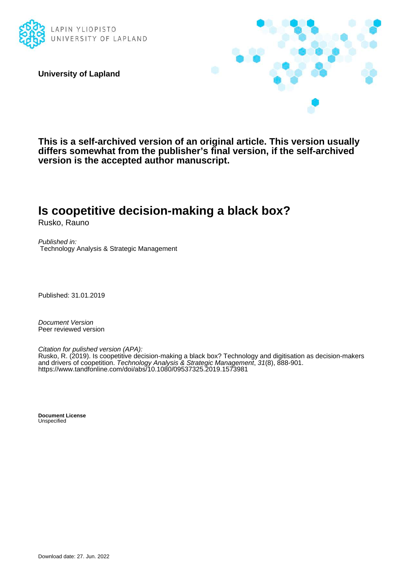

**University of Lapland**



**This is a self-archived version of an original article. This version usually differs somewhat from the publisher's final version, if the self-archived version is the accepted author manuscript.**

# **Is coopetitive decision-making a black box?**

Rusko, Rauno

Published in: Technology Analysis & Strategic Management

Published: 31.01.2019

Document Version Peer reviewed version

Citation for pulished version (APA):

Rusko, R. (2019). Is coopetitive decision-making a black box? Technology and digitisation as decision-makers and drivers of coopetition. Technology Analysis & Strategic Management, 31(8), 888-901. <https://www.tandfonline.com/doi/abs/10.1080/09537325.2019.1573981>

**Document License** Unspecified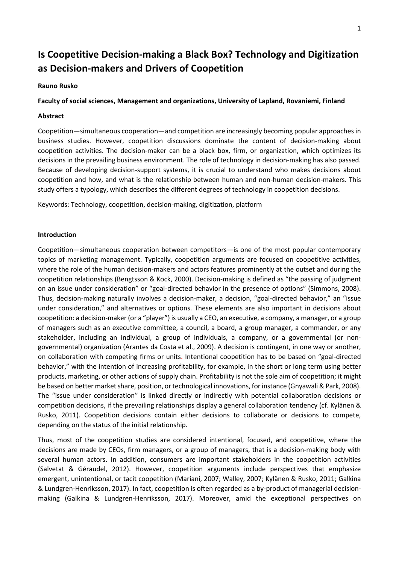# **Is Coopetitive Decision-making a Black Box? Technology and Digitization as Decision-makers and Drivers of Coopetition**

### **Rauno Rusko**

### **Faculty of social sciences, Management and organizations, University of Lapland, Rovaniemi, Finland**

### **Abstract**

Coopetition—simultaneous cooperation—and competition are increasingly becoming popular approaches in business studies. However, coopetition discussions dominate the content of decision-making about coopetition activities. The decision-maker can be a black box, firm, or organization, which optimizes its decisions in the prevailing business environment. The role of technology in decision-making has also passed. Because of developing decision-support systems, it is crucial to understand who makes decisions about coopetition and how, and what is the relationship between human and non-human decision-makers. This study offers a typology, which describes the different degrees of technology in coopetition decisions.

Keywords: Technology, coopetition, decision-making, digitization, platform

#### **Introduction**

Coopetition—simultaneous cooperation between competitors—is one of the most popular contemporary topics of marketing management. Typically, coopetition arguments are focused on coopetitive activities, where the role of the human decision-makers and actors features prominently at the outset and during the coopetition relationships (Bengtsson & Kock, 2000). Decision-making is defined as "the passing of judgment on an issue under consideration" or "goal-directed behavior in the presence of options" (Simmons, 2008). Thus, decision-making naturally involves a decision-maker, a decision, "goal-directed behavior," an "issue under consideration," and alternatives or options. These elements are also important in decisions about coopetition: a decision-maker (or a "player") is usually a CEO, an executive, a company, a manager, or a group of managers such as an executive committee, a council, a board, a group manager, a commander, or any stakeholder, including an individual, a group of individuals, a company, or a governmental (or nongovernmental) organization (Arantes da Costa et al., 2009). A decision is contingent, in one way or another, on collaboration with competing firms or units. Intentional coopetition has to be based on "goal-directed behavior," with the intention of increasing profitability, for example, in the short or long term using better products, marketing, or other actions of supply chain. Profitability is not the sole aim of coopetition; it might be based on better market share, position, or technological innovations, for instance (Gnyawali & Park, 2008). The "issue under consideration" is linked directly or indirectly with potential collaboration decisions or competition decisions, if the prevailing relationships display a general collaboration tendency (cf. Kylänen & Rusko, 2011). Coopetition decisions contain either decisions to collaborate or decisions to compete, depending on the status of the initial relationship.

Thus, most of the coopetition studies are considered intentional, focused, and coopetitive, where the decisions are made by CEOs, firm managers, or a group of managers, that is a decision-making body with several human actors. In addition, consumers are important stakeholders in the coopetition activities (Salvetat & Géraudel, 2012). However, coopetition arguments include perspectives that emphasize emergent, unintentional, or tacit coopetition (Mariani, 2007; Walley, 2007; Kylänen & Rusko, 2011; Galkina & Lundgren-Henriksson, 2017). In fact, coopetition is often regarded as a by-product of managerial decisionmaking (Galkina & Lundgren-Henriksson, 2017). Moreover, amid the exceptional perspectives on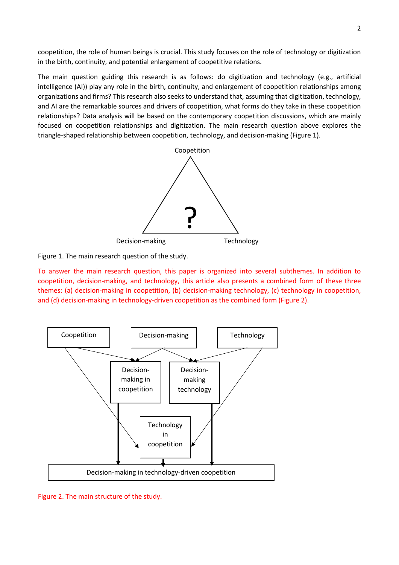coopetition, the role of human beings is crucial. This study focuses on the role of technology or digitization in the birth, continuity, and potential enlargement of coopetitive relations.

The main question guiding this research is as follows: do digitization and technology (e.g., artificial intelligence (AI)) play any role in the birth, continuity, and enlargement of coopetition relationships among organizations and firms? This research also seeks to understand that, assuming that digitization, technology, and AI are the remarkable sources and drivers of coopetition, what forms do they take in these coopetition relationships? Data analysis will be based on the contemporary coopetition discussions, which are mainly focused on coopetition relationships and digitization. The main research question above explores the triangle-shaped relationship between coopetition, technology, and decision-making (Figure 1).





To answer the main research question, this paper is organized into several subthemes. In addition to coopetition, decision-making, and technology, this article also presents a combined form of these three themes: (a) decision-making in coopetition, (b) decision-making technology, (c) technology in coopetition, and (d) decision-making in technology-driven coopetition as the combined form (Figure 2).



Figure 2. The main structure of the study.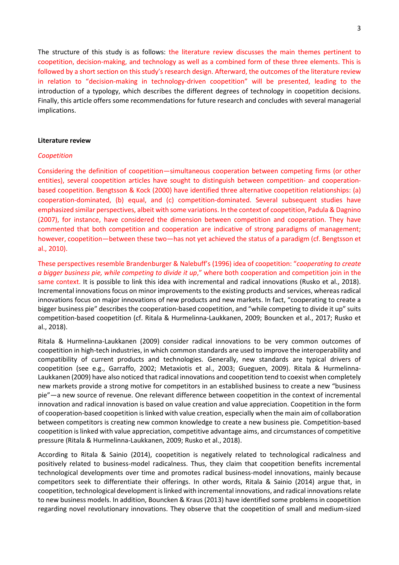The structure of this study is as follows: the literature review discusses the main themes pertinent to coopetition, decision-making, and technology as well as a combined form of these three elements. This is followed by a short section on this study's research design. Afterward, the outcomes of the literature review in relation to "decision-making in technology-driven coopetition" will be presented, leading to the introduction of a typology, which describes the different degrees of technology in coopetition decisions. Finally, this article offers some recommendations for future research and concludes with several managerial implications.

#### **Literature review**

#### *Coopetition*

Considering the definition of coopetition—simultaneous cooperation between competing firms (or other entities), several coopetition articles have sought to distinguish between competition- and cooperationbased coopetition. Bengtsson & Kock (2000) have identified three alternative coopetition relationships: (a) cooperation-dominated, (b) equal, and (c) competition-dominated. Several subsequent studies have emphasized similar perspectives, albeit with some variations. In the context of coopetition, Padula & Dagnino (2007), for instance, have considered the dimension between competition and cooperation. They have commented that both competition and cooperation are indicative of strong paradigms of management; however, coopetition—between these two—has not yet achieved the status of a paradigm (cf. Bengtsson et al., 2010).

These perspectives resemble Brandenburger & Nalebuff's (1996) idea of coopetition: "*cooperating to create a bigger business pie, while competing to divide it up*," where both cooperation and competition join in the same context. It is possible to link this idea with incremental and radical innovations (Rusko et al., 2018). Incremental innovations focus on minor improvements to the existing products and services, whereas radical innovations focus on major innovations of new products and new markets. In fact, "cooperating to create a bigger business pie" describes the cooperation-based coopetition, and "while competing to divide it up" suits competition-based coopetition (cf. Ritala & Hurmelinna-Laukkanen, 2009; Bouncken et al., 2017; Rusko et al., 2018).

Ritala & Hurmelinna-Laukkanen (2009) consider radical innovations to be very common outcomes of coopetition in high-tech industries, in which common standards are used to improve the interoperability and compatibility of current products and technologies. Generally, new standards are typical drivers of coopetition (see e.g., Garraffo, 2002; Metaxiotis et al., 2003; Gueguen, 2009). Ritala & Hurmelinna-Laukkanen (2009) have also noticed that radical innovations and coopetition tend to coexist when completely new markets provide a strong motive for competitors in an established business to create a new "business pie"—a new source of revenue. One relevant difference between coopetition in the context of incremental innovation and radical innovation is based on value creation and value appreciation. Coopetition in the form of cooperation-based coopetition is linked with value creation, especially when the main aim of collaboration between competitors is creating new common knowledge to create a new business pie. Competition-based coopetition is linked with value appreciation, competitive advantage aims, and circumstances of competitive pressure (Ritala & Hurmelinna-Laukkanen, 2009; Rusko et al., 2018).

According to Ritala & Sainio (2014), coopetition is negatively related to technological radicalness and positively related to business-model radicalness. Thus, they claim that coopetition benefits incremental technological developments over time and promotes radical business-model innovations, mainly because competitors seek to differentiate their offerings. In other words, Ritala & Sainio (2014) argue that, in coopetition, technological development is linked with incremental innovations, and radical innovations relate to new business models. In addition, Bouncken & Kraus (2013) have identified some problems in coopetition regarding novel revolutionary innovations. They observe that the coopetition of small and medium-sized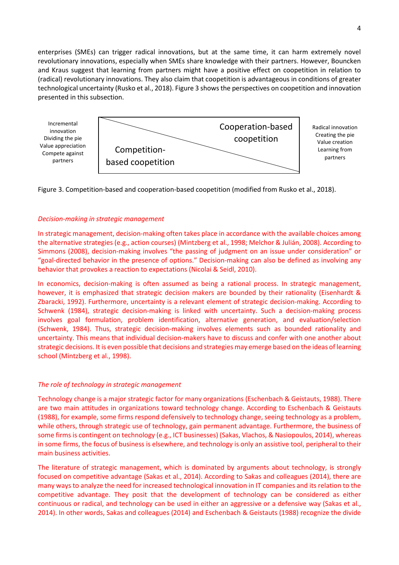enterprises (SMEs) can trigger radical innovations, but at the same time, it can harm extremely novel revolutionary innovations, especially when SMEs share knowledge with their partners. However, Bouncken and Kraus suggest that learning from partners might have a positive effect on coopetition in relation to (radical) revolutionary innovations. They also claim that coopetition is advantageous in conditions of greater technological uncertainty (Rusko et al., 2018). Figure 3 shows the perspectives on coopetition and innovation presented in this subsection.



Figure 3. Competition-based and cooperation-based coopetition (modified from Rusko et al., 2018).

# *Decision-making in strategic management*

In strategic management, decision-making often takes place in accordance with the available choices among the alternative strategies (e.g., action courses) (Mintzberg et al., 1998; Melchor & Julián, 2008). According to Simmons (2008), decision-making involves "the passing of judgment on an issue under consideration" or "goal-directed behavior in the presence of options." Decision-making can also be defined as involving any behavior that provokes a reaction to expectations (Nicolai & Seidl, 2010).

In economics, decision-making is often assumed as being a rational process. In strategic management, however, it is emphasized that strategic decision makers are bounded by their rationality (Eisenhardt & Zbaracki, 1992). Furthermore, uncertainty is a relevant element of strategic decision-making. According to Schwenk (1984), strategic decision-making is linked with uncertainty. Such a decision-making process involves goal formulation, problem identification, alternative generation, and evaluation/selection (Schwenk, 1984). Thus, strategic decision-making involves elements such as bounded rationality and uncertainty. This means that individual decision-makers have to discuss and confer with one another about strategic decisions. It is even possible that decisions and strategies may emerge based on the ideas of learning school (Mintzberg et al., 1998).

# *The role of technology in strategic management*

Technology change is a major strategic factor for many organizations (Eschenbach & Geistauts, 1988). There are two main attitudes in organizations toward technology change. According to Eschenbach & Geistauts (1988), for example, some firms respond defensively to technology change, seeing technology as a problem, while others, through strategic use of technology, gain permanent advantage. Furthermore, the business of some firms is contingent on technology (e.g., ICT businesses) (Sakas, Vlachos, & Nasiopoulos, 2014), whereas in some firms, the focus of business is elsewhere, and technology is only an assistive tool, peripheral to their main business activities.

The literature of strategic management, which is dominated by arguments about technology, is strongly focused on competitive advantage (Sakas et al., 2014). According to Sakas and colleagues (2014), there are many ways to analyze the need for increased technological innovation in IT companies and its relation to the competitive advantage. They posit that the development of technology can be considered as either continuous or radical, and technology can be used in either an aggressive or a defensive way (Sakas et al., 2014). In other words, Sakas and colleagues (2014) and Eschenbach & Geistauts (1988) recognize the divide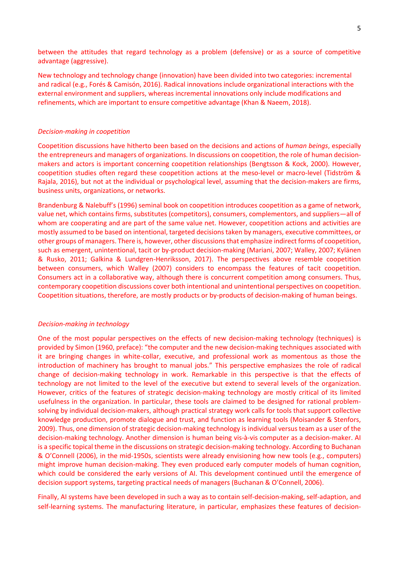between the attitudes that regard technology as a problem (defensive) or as a source of competitive advantage (aggressive).

New technology and technology change (innovation) have been divided into two categories: incremental and radical (e.g., Forés & Camisón, 2016). Radical innovations include organizational interactions with the external environment and suppliers, whereas incremental innovations only include modifications and refinements, which are important to ensure competitive advantage (Khan & Naeem, 2018).

#### *Decision-making in coopetition*

Coopetition discussions have hitherto been based on the decisions and actions of *human beings*, especially the entrepreneurs and managers of organizations. In discussions on coopetition, the role of human decisionmakers and actors is important concerning coopetition relationships (Bengtsson & Kock, 2000). However, coopetition studies often regard these coopetition actions at the meso-level or macro-level (Tidström & Rajala, 2016), but not at the individual or psychological level, assuming that the decision-makers are firms, business units, organizations, or networks.

Brandenburg & Nalebuff's (1996) seminal book on coopetition introduces coopetition as a game of network, value net, which contains firms, substitutes (competitors), consumers, complementors, and suppliers—all of whom are cooperating and are part of the same value net. However, coopetition actions and activities are mostly assumed to be based on intentional, targeted decisions taken by managers, executive committees, or other groups of managers. There is, however, other discussionsthat emphasize indirect forms of coopetition, such as emergent, unintentional, tacit or by-product decision-making (Mariani, 2007; Walley, 2007; Kylänen & Rusko, 2011; Galkina & Lundgren-Henriksson, 2017). The perspectives above resemble coopetition between consumers, which Walley (2007) considers to encompass the features of tacit coopetition. Consumers act in a collaborative way, although there is concurrent competition among consumers. Thus, contemporary coopetition discussions cover both intentional and unintentional perspectives on coopetition. Coopetition situations, therefore, are mostly products or by-products of decision-making of human beings.

#### *Decision-making in technology*

One of the most popular perspectives on the effects of new decision-making technology (techniques) is provided by Simon (1960, preface): "the computer and the new decision-making techniques associated with it are bringing changes in white-collar, executive, and professional work as momentous as those the introduction of machinery has brought to manual jobs." This perspective emphasizes the role of radical change of decision-making technology in work. Remarkable in this perspective is that the effects of technology are not limited to the level of the executive but extend to several levels of the organization. However, critics of the features of strategic decision-making technology are mostly critical of its limited usefulness in the organization. In particular, these tools are claimed to be designed for rational problemsolving by individual decision-makers, although practical strategy work calls for tools that support collective knowledge production, promote dialogue and trust, and function as learning tools (Moisander & Stenfors, 2009). Thus, one dimension of strategic decision-making technology is individual versusteam as a user of the decision-making technology. Another dimension is human being vis-à-vis computer as a decision-maker. AI is a specific topical theme in the discussions on strategic decision-making technology. According to Buchanan & O'Connell (2006), in the mid-1950s, scientists were already envisioning how new tools (e.g., computers) might improve human decision-making. They even produced early computer models of human cognition, which could be considered the early versions of AI. This development continued until the emergence of decision support systems, targeting practical needs of managers (Buchanan & O'Connell, 2006).

Finally, AI systems have been developed in such a way as to contain self-decision-making, self-adaption, and self-learning systems. The manufacturing literature, in particular, emphasizes these features of decision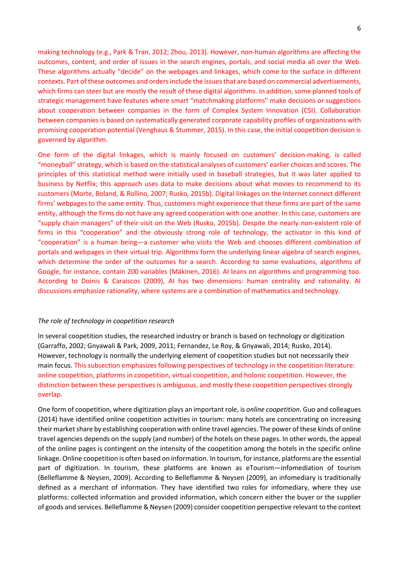making technology (e.g., Park & Tran, 2012; Zhou, 2013). However, non-human algorithms are affecting the outcomes, content, and order of issues in the search engines, portals, and social media all over the Web. These algorithms actually "decide" on the webpages and linkages, which come to the surface in different contexts. Part of these outcomes and orders include the issues that are based on commercial advertisements, which firms can steer but are mostly the result of these digital algorithms. In addition, some planned tools of strategic management have features where smart "matchmaking platforms" make decisions or suggestions about cooperation between companies in the form of Complex System Innovation (CSI). Collaboration between companies is based on systematically generated corporate capability profiles of organizations with promising cooperation potential (Venghaus & Stummer, 2015). In this case, the initial coopetition decision is governed by algorithm.

One form of the digital linkages, which is mainly focused on customers' decision-making, is called "moneyball" strategy, which is based on the statistical analyses of customers' earlier choices and scores. The principles of this statistical method were initially used in baseball strategies, but it was later applied to business by Netflix; this approach uses data to make decisions about what movies to recommend to its customers (Morte, Boland, & Rollino, 2007; Rusko, 2015b). Digital linkages on the Internet connect different firms' webpages to the same entity. Thus, customers might experience that these firms are part of the same entity, although the firms do not have any agreed cooperation with one another. In this case, customers are "supply chain managers" of their visit on the Web (Rusko, 2015b). Despite the nearly non-existent role of firms in this "cooperation" and the obviously strong role of technology, the activator in this kind of "cooperation" is a human being—a customer who visits the Web and chooses different combination of portals and webpages in their virtual trip. Algorithms form the underlying linear algebra of search engines, which determine the order of the outcomes for a search. According to some evaluations, algorithms of Google, for instance, contain 200 variables (Mäkinen, 2016). AI leans on algorithms and programming too. According to Doinis & Caraiscos (2009), AI has two dimensions: human centrality and rationality. AI discussions emphasize rationality, where systems are a combination of mathematics and technology.

# *The role of technology in coopetition research*

In several coopetition studies, the researched industry or branch is based on technology or digitization (Garraffo, 2002; Gnyawali & Park, 2009, 2011; Fernandez, Le Roy, & Gnyawali, 2014; Rusko, 2014). However, technology is normally the underlying element of coopetition studies but not necessarily their main focus. This subsection emphasizes following perspectives of technology in the coopetition literature: online coopetition, platforms in coopetition, virtual coopetition, and holonic coopetition. However, the distinction between these perspectives is ambiguous, and mostly these coopetition perspectives strongly overlap.

One form of coopetition, where digitization plays an important role, is *online coopetition*. Guo and colleagues (2014) have identified online coopetition activities in tourism: many hotels are concentrating on increasing their market share by establishing cooperation with online travel agencies. The power of these kinds of online travel agencies depends on the supply (and number) of the hotels on these pages. In other words, the appeal of the online pages is contingent on the intensity of the coopetition among the hotels in the specific online linkage. Online coopetition is often based on information. In tourism, for instance, platforms are the essential part of digitization. In tourism, these platforms are known as eTourism—infomediation of tourism (Belleflamme & Neysen, 2009). According to Belleflamme & Neysen (2009), an infomediary is traditionally defined as a merchant of information. They have identified two roles for infomediary, where they use platforms: collected information and provided information, which concern either the buyer or the supplier of goods and services. Belleflamme & Neysen (2009) consider coopetition perspective relevant to the context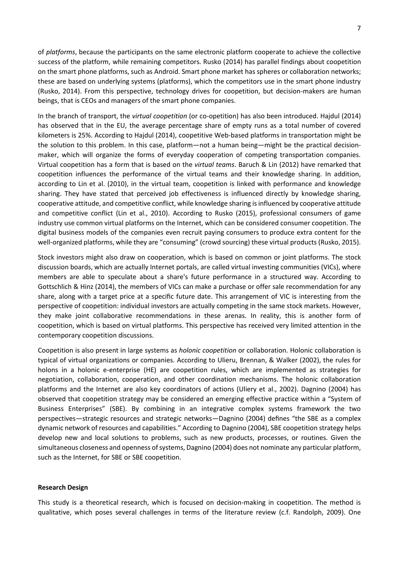of *platforms*, because the participants on the same electronic platform cooperate to achieve the collective success of the platform, while remaining competitors. Rusko (2014) has parallel findings about coopetition on the smart phone platforms, such as Android. Smart phone market has spheres or collaboration networks; these are based on underlying systems (platforms), which the competitors use in the smart phone industry (Rusko, 2014). From this perspective, technology drives for coopetition, but decision-makers are human beings, that is CEOs and managers of the smart phone companies.

In the branch of transport, the *virtual coopetition* (or co-opetition) has also been introduced. Hajdul (2014) has observed that in the EU, the average percentage share of empty runs as a total number of covered kilometers is 25%. According to Hajdul (2014), coopetitive Web-based platforms in transportation might be the solution to this problem. In this case, platform—not a human being—might be the practical decisionmaker, which will organize the forms of everyday cooperation of competing transportation companies. Virtual coopetition has a form that is based on the *virtual teams*. Baruch & Lin (2012) have remarked that coopetition influences the performance of the virtual teams and their knowledge sharing. In addition, according to Lin et al. (2010), in the virtual team, coopetition is linked with performance and knowledge sharing. They have stated that perceived job effectiveness is influenced directly by knowledge sharing, cooperative attitude, and competitive conflict, while knowledge sharing is influenced by cooperative attitude and competitive conflict (Lin et al., 2010). According to Rusko (2015), professional consumers of game industry use common virtual platforms on the Internet, which can be considered consumer coopetition. The digital business models of the companies even recruit paying consumers to produce extra content for the well-organized platforms, while they are "consuming" (crowd sourcing) these virtual products (Rusko, 2015).

Stock investors might also draw on cooperation, which is based on common or joint platforms. The stock discussion boards, which are actually Internet portals, are called virtual investing communities (VICs), where members are able to speculate about a share's future performance in a structured way. According to Gottschlich & Hinz (2014), the members of VICs can make a purchase or offer sale recommendation for any share, along with a target price at a specific future date. This arrangement of VIC is interesting from the perspective of coopetition: individual investors are actually competing in the same stock markets. However, they make joint collaborative recommendations in these arenas. In reality, this is another form of coopetition, which is based on virtual platforms. This perspective has received very limited attention in the contemporary coopetition discussions.

Coopetition is also present in large systems as *holonic coopetition* or collaboration. Holonic collaboration is typical of virtual organizations or companies. According to Ulieru, Brennan, & Walker (2002), the rules for holons in a holonic e-enterprise (HE) are coopetition rules, which are implemented as strategies for negotiation, collaboration, cooperation, and other coordination mechanisms. The holonic collaboration platforms and the Internet are also key coordinators of actions (Uliery et al., 2002). Dagnino (2004) has observed that coopetition strategy may be considered an emerging effective practice within a "System of Business Enterprises" (SBE). By combining in an integrative complex systems framework the two perspectives—strategic resources and strategic networks—Dagnino (2004) defines "the SBE as a complex dynamic network of resources and capabilities." According to Dagnino (2004), SBE coopetition strategy helps develop new and local solutions to problems, such as new products, processes, or routines. Given the simultaneous closeness and openness of systems, Dagnino (2004) does not nominate any particular platform, such as the Internet, for SBE or SBE coopetition.

#### **Research Design**

This study is a theoretical research, which is focused on decision-making in coopetition. The method is qualitative, which poses several challenges in terms of the literature review (c.f. Randolph, 2009). One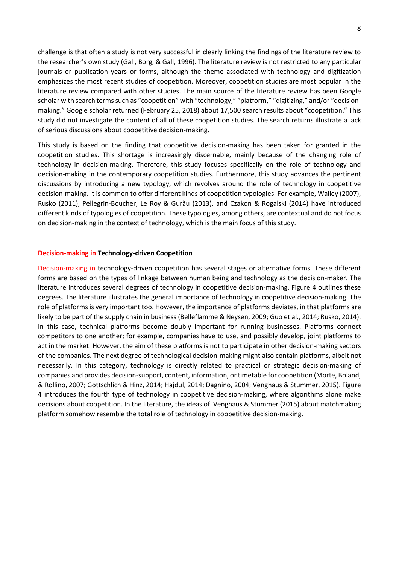challenge is that often a study is not very successful in clearly linking the findings of the literature review to the researcher's own study (Gall, Borg, & Gall, 1996). The literature review is not restricted to any particular journals or publication years or forms, although the theme associated with technology and digitization emphasizes the most recent studies of coopetition. Moreover, coopetition studies are most popular in the literature review compared with other studies. The main source of the literature review has been Google scholar with search terms such as "coopetition" with "technology," "platform," "digitizing," and/or "decisionmaking." Google scholar returned (February 25, 2018) about 17,500 search results about "coopetition." This study did not investigate the content of all of these coopetition studies. The search returns illustrate a lack of serious discussions about coopetitive decision-making.

This study is based on the finding that coopetitive decision-making has been taken for granted in the coopetition studies. This shortage is increasingly discernable, mainly because of the changing role of technology in decision-making. Therefore, this study focuses specifically on the role of technology and decision-making in the contemporary coopetition studies. Furthermore, this study advances the pertinent discussions by introducing a new typology, which revolves around the role of technology in coopetitive decision-making. It is common to offer different kinds of coopetition typologies. For example, Walley (2007), Rusko (2011), Pellegrin-Boucher, Le Roy & Gurău (2013), and Czakon & Rogalski (2014) have introduced different kinds of typologies of coopetition. These typologies, among others, are contextual and do not focus on decision-making in the context of technology, which is the main focus of this study.

#### **Decision-making in Technology-driven Coopetition**

Decision-making in technology-driven coopetition has several stages or alternative forms. These different forms are based on the types of linkage between human being and technology as the decision-maker. The literature introduces several degrees of technology in coopetitive decision-making. Figure 4 outlines these degrees. The literature illustrates the general importance of technology in coopetitive decision-making. The role of platforms is very important too. However, the importance of platforms deviates, in that platforms are likely to be part of the supply chain in business (Belleflamme & Neysen, 2009; Guo et al., 2014; Rusko, 2014). In this case, technical platforms become doubly important for running businesses. Platforms connect competitors to one another; for example, companies have to use, and possibly develop, joint platforms to act in the market. However, the aim of these platforms is not to participate in other decision-making sectors of the companies. The next degree of technological decision-making might also contain platforms, albeit not necessarily. In this category, technology is directly related to practical or strategic decision-making of companies and provides decision-support, content, information, or timetable for coopetition (Morte, Boland, & Rollino, 2007; Gottschlich & Hinz, 2014; Hajdul, 2014; Dagnino, 2004; Venghaus & Stummer, 2015). Figure 4 introduces the fourth type of technology in coopetitive decision-making, where algorithms alone make decisions about coopetition. In the literature, the ideas of Venghaus & Stummer (2015) about matchmaking platform somehow resemble the total role of technology in coopetitive decision-making.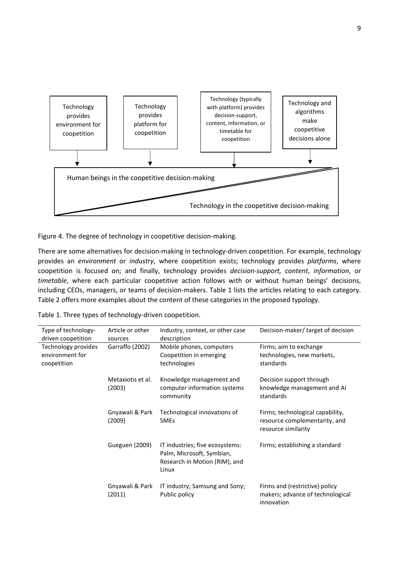

Figure 4. The degree of technology in coopetitive decision-making.

There are some alternatives for decision-making in technology-driven coopetition. For example, technology provides an *environment* or *industry*, where coopetition exists; technology provides *platforms*, where coopetition is focused on; and finally, technology provides *decision-support, content*, *information*, or *timetable*, where each particular coopetitive action follows with or without human beings' decisions, including CEOs, managers, or teams of decision-makers. Table 1 lists the articles relating to each category. Table 2 offers more examples about the content of these categories in the proposed typology.

| Type of technology-<br>driven coopetition             | Article or other<br>sources | Industry, context, or other case<br>description                                                        | Decision-maker/target of decision                                                        |
|-------------------------------------------------------|-----------------------------|--------------------------------------------------------------------------------------------------------|------------------------------------------------------------------------------------------|
| Technology provides<br>environment for<br>coopetition | Garraffo (2002)             | Mobile phones, computers<br>Coopetition in emerging<br>technologies                                    | Firms; aim to exchange<br>technologies, new markets,<br>standards                        |
|                                                       | Metaxiotis et al.<br>(2003) | Knowledge management and<br>computer information systems<br>community                                  | Decision support through<br>knowledge management and AI<br>standards                     |
|                                                       | Gnyawali & Park<br>(2009)   | Technological innovations of<br><b>SMEs</b>                                                            | Firms; technological capability,<br>resource complementarity, and<br>resource similarity |
|                                                       | <b>Gueguen (2009)</b>       | IT industries; five ecosystems:<br>Palm, Microsoft, Symbian,<br>Research in Motion (RIM), and<br>Linux | Firms; establishing a standard                                                           |
|                                                       | Gnyawali & Park<br>(2011)   | IT industry; Samsung and Sony;<br>Public policy                                                        | Firms and (restrictive) policy<br>makers; advance of technological<br>innovation         |

Table 1. Three types of technology-driven coopetition.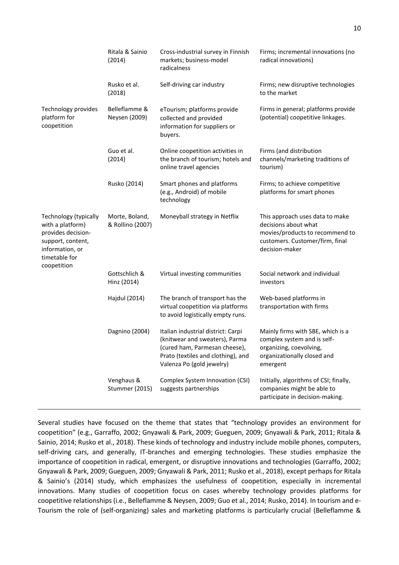|                                                                                                                                         | Ritala & Sainio<br>(2014)          | Cross-industrial survey in Finnish<br>markets; business-model<br>radicalness                                                                                             | Firms; incremental innovations (no<br>radical innovations)                                                                                      |
|-----------------------------------------------------------------------------------------------------------------------------------------|------------------------------------|--------------------------------------------------------------------------------------------------------------------------------------------------------------------------|-------------------------------------------------------------------------------------------------------------------------------------------------|
|                                                                                                                                         | Rusko et al.<br>(2018)             | Self-driving car industry                                                                                                                                                | Firms; new disruptive technologies<br>to the market                                                                                             |
| Technology provides<br>platform for<br>coopetition                                                                                      | Belleflamme &<br>Neysen (2009)     | eTourism; platforms provide<br>collected and provided<br>information for suppliers or<br>buyers.                                                                         | Firms in general; platforms provide<br>(potential) coopetitive linkages.                                                                        |
|                                                                                                                                         | Guo et al.<br>(2014)               | Online coopetition activities in<br>the branch of tourism; hotels and<br>online travel agencies                                                                          | Firms (and distribution<br>channels/marketing traditions of<br>tourism)                                                                         |
|                                                                                                                                         | Rusko (2014)                       | Smart phones and platforms<br>(e.g., Android) of mobile<br>technology                                                                                                    | Firms; to achieve competitive<br>platforms for smart phones                                                                                     |
| Technology (typically<br>with a platform)<br>provides decision-<br>support, content,<br>information, or<br>timetable for<br>coopetition | Morte, Boland,<br>& Rollino (2007) | Moneyball strategy in Netflix                                                                                                                                            | This approach uses data to make<br>decisions about what<br>movies/products to recommend to<br>customers. Customer/firm, final<br>decision-maker |
|                                                                                                                                         | Gottschlich &<br>Hinz (2014)       | Virtual investing communities                                                                                                                                            | Social network and individual<br>investors                                                                                                      |
|                                                                                                                                         | Hajdul (2014)                      | The branch of transport has the<br>virtual coopetition via platforms<br>to avoid logistically empty runs.                                                                | Web-based platforms in<br>transportation with firms                                                                                             |
|                                                                                                                                         | Dagnino (2004)                     | Italian industrial district: Carpi<br>(knitwear and sweaters), Parma<br>(cured ham, Parmesan cheese),<br>Prato (textiles and clothing), and<br>Valenza Po (gold jewelry) | Mainly firms with SBE, which is a<br>complex system and is self-<br>organizing, coevolving,<br>organizationally closed and<br>emergent          |
|                                                                                                                                         | Venghaus &<br>Stummer (2015)       | Complex System Innovation (CSI)<br>suggests partnerships                                                                                                                 | Initially, algorithms of CSI; finally,<br>companies might be able to<br>participate in decision-making.                                         |

Several studies have focused on the theme that states that "technology provides an environment for coopetition" (e.g., Garraffo, 2002; Gnyawali & Park, 2009; Gueguen, 2009; Gnyawali & Park, 2011; Ritala & Sainio, 2014; Rusko et al., 2018). These kinds of technology and industry include mobile phones, computers, self-driving cars, and generally, IT-branches and emerging technologies. These studies emphasize the importance of coopetition in radical, emergent, or disruptive innovations and technologies (Garraffo, 2002; Gnyawali & Park, 2009; Gueguen, 2009; Gnyawali & Park, 2011; Rusko et al., 2018), except perhaps for Ritala & Sainio's (2014) study, which emphasizes the usefulness of coopetition, especially in incremental innovations. Many studies of coopetition focus on cases whereby technology provides platforms for coopetitive relationships (i.e., Belleflamme & Neysen, 2009; Guo et al., 2014; Rusko, 2014). In tourism and e-Tourism the role of (self-organizing) sales and marketing platforms is particularly crucial (Belleflamme &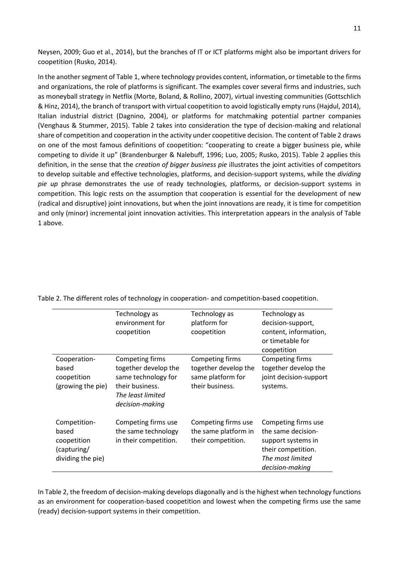Neysen, 2009; Guo et al., 2014), but the branches of IT or ICT platforms might also be important drivers for coopetition (Rusko, 2014).

In the another segment of Table 1, where technology provides content, information, or timetable to the firms and organizations, the role of platforms is significant. The examples cover several firms and industries, such as moneyball strategy in Netflix (Morte, Boland, & Rollino, 2007), virtual investing communities (Gottschlich & Hinz, 2014), the branch of transport with virtual coopetition to avoid logistically empty runs (Hajdul, 2014), Italian industrial district (Dagnino, 2004), or platforms for matchmaking potential partner companies (Venghaus & Stummer, 2015). Table 2 takes into consideration the type of decision-making and relational share of competition and cooperation in the activity under coopetitive decision. The content of Table 2 draws on one of the most famous definitions of coopetition: "cooperating to create a bigger business pie, while competing to divide it up" (Brandenburger & Nalebuff, 1996; Luo, 2005; Rusko, 2015). Table 2 applies this definition, in the sense that the *creation of bigger business pie* illustrates the joint activities of competitors to develop suitable and effective technologies, platforms, and decision-support systems, while the *dividing pie up* phrase demonstrates the use of ready technologies, platforms, or decision-support systems in competition. This logic rests on the assumption that cooperation is essential for the development of new (radical and disruptive) joint innovations, but when the joint innovations are ready, it is time for competition and only (minor) incremental joint innovation activities. This interpretation appears in the analysis of Table 1 above.

|                                                                          | Technology as<br>environment for<br>coopetition                                                                           | Technology as<br>platform for<br>coopetition                                    | Technology as<br>decision-support,<br>content, information,<br>or timetable for<br>coopetition                               |
|--------------------------------------------------------------------------|---------------------------------------------------------------------------------------------------------------------------|---------------------------------------------------------------------------------|------------------------------------------------------------------------------------------------------------------------------|
| Cooperation-<br>based<br>coopetition<br>(growing the pie)                | Competing firms<br>together develop the<br>same technology for<br>their business.<br>The least limited<br>decision-making | Competing firms<br>together develop the<br>same platform for<br>their business. | Competing firms<br>together develop the<br>joint decision-support<br>systems.                                                |
| Competition-<br>based<br>coopetition<br>(capturing/<br>dividing the pie) | Competing firms use<br>the same technology<br>in their competition.                                                       | Competing firms use<br>the same platform in<br>their competition.               | Competing firms use<br>the same decision-<br>support systems in<br>their competition.<br>The most limited<br>decision-making |

Table 2. The different roles of technology in cooperation- and competition-based coopetition.

In Table 2, the freedom of decision-making develops diagonally and isthe highest when technology functions as an environment for cooperation-based coopetition and lowest when the competing firms use the same (ready) decision-support systems in their competition.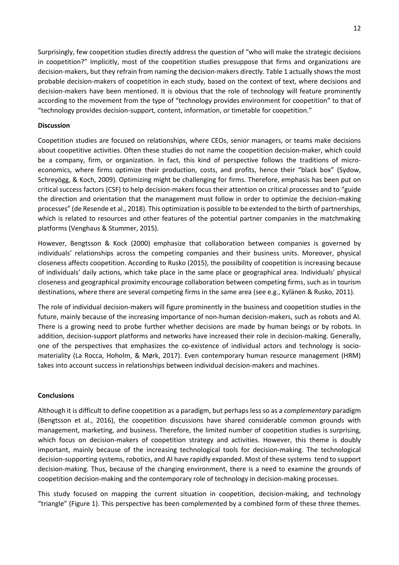Surprisingly, few coopetition studies directly address the question of "who will make the strategic decisions in coopetition?" Implicitly, most of the coopetition studies presuppose that firms and organizations are decision-makers, but they refrain from naming the decision-makers directly. Table 1 actually shows the most probable decision-makers of coopetition in each study, based on the context of text, where decisions and decision-makers have been mentioned. It is obvious that the role of technology will feature prominently according to the movement from the type of "technology provides environment for coopetition" to that of "technology provides decision-support, content, information, or timetable for coopetition."

# **Discussion**

Coopetition studies are focused on relationships, where CEOs, senior managers, or teams make decisions about coopetitive activities. Often these studies do not name the coopetition decision-maker, which could be a company, firm, or organization. In fact, this kind of perspective follows the traditions of microeconomics, where firms optimize their production, costs, and profits, hence their "black box" (Sydow, Schreyögg, & Koch, 2009). Optimizing might be challenging for firms. Therefore, emphasis has been put on critical success factors (CSF) to help decision-makers focus their attention on critical processes and to "guide the direction and orientation that the management must follow in order to optimize the decision-making processes" (de Resende et al., 2018). This optimization is possible to be extended to the birth of partnerships, which is related to resources and other features of the potential partner companies in the matchmaking platforms (Venghaus & Stummer, 2015).

However, Bengtsson & Kock (2000) emphasize that collaboration between companies is governed by individuals' relationships across the competing companies and their business units. Moreover, physical closeness affects coopetition. According to Rusko (2015), the possibility of coopetition is increasing because of individuals' daily actions, which take place in the same place or geographical area. Individuals' physical closeness and geographical proximity encourage collaboration between competing firms, such as in tourism destinations, where there are several competing firms in the same area (see e.g., Kylänen & Rusko, 2011).

The role of individual decision-makers will figure prominently in the business and coopetition studies in the future, mainly because of the increasing importance of non-human decision-makers, such as robots and AI. There is a growing need to probe further whether decisions are made by human beings or by robots. In addition, decision-support platforms and networks have increased their role in decision-making. Generally, one of the perspectives that emphasizes the co-existence of individual actors and technology is sociomateriality (La Rocca, Hoholm, & Mørk, 2017). Even contemporary human resource management (HRM) takes into account success in relationships between individual decision-makers and machines.

# **Conclusions**

Although it is difficult to define coopetition as a paradigm, but perhaps less so as a *complementary* paradigm (Bengtsson et al., 2016), the coopetition discussions have shared considerable common grounds with management, marketing, and business. Therefore, the limited number of coopetition studies is surprising, which focus on decision-makers of coopetition strategy and activities. However, this theme is doubly important, mainly because of the increasing technological tools for decision-making. The technological decision-supporting systems, robotics, and AI have rapidly expanded. Most of these systems tend to support decision-making. Thus, because of the changing environment, there is a need to examine the grounds of coopetition decision-making and the contemporary role of technology in decision-making processes.

This study focused on mapping the current situation in coopetition, decision-making, and technology "triangle" (Figure 1). This perspective has been complemented by a combined form of these three themes.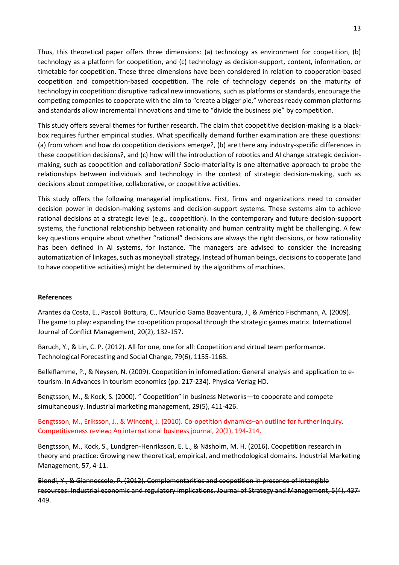Thus, this theoretical paper offers three dimensions: (a) technology as environment for coopetition, (b) technology as a platform for coopetition, and (c) technology as decision-support, content, information, or timetable for coopetition. These three dimensions have been considered in relation to cooperation-based coopetition and competition-based coopetition. The role of technology depends on the maturity of technology in coopetition: disruptive radical new innovations, such as platforms or standards, encourage the competing companies to cooperate with the aim to "create a bigger pie," whereas ready common platforms and standards allow incremental innovations and time to "divide the business pie" by competition.

This study offers several themes for further research. The claim that coopetitive decision-making is a blackbox requires further empirical studies. What specifically demand further examination are these questions: (a) from whom and how do coopetition decisions emerge?, (b) are there any industry-specific differences in these coopetition decisions?, and (c) how will the introduction of robotics and AI change strategic decisionmaking, such as coopetition and collaboration? Socio-materiality is one alternative approach to probe the relationships between individuals and technology in the context of strategic decision-making, such as decisions about competitive, collaborative, or coopetitive activities.

This study offers the following managerial implications. First, firms and organizations need to consider decision power in decision-making systems and decision-support systems. These systems aim to achieve rational decisions at a strategic level (e.g., coopetition). In the contemporary and future decision-support systems, the functional relationship between rationality and human centrality might be challenging. A few key questions enquire about whether "rational" decisions are always the right decisions, or how rationality has been defined in AI systems, for instance. The managers are advised to consider the increasing automatization of linkages, such as moneyball strategy. Instead of human beings, decisionsto cooperate (and to have coopetitive activities) might be determined by the algorithms of machines.

# **References**

Arantes da Costa, E., Pascoli Bottura, C., Maurício Gama Boaventura, J., & Américo Fischmann, A. (2009). The game to play: expanding the co-opetition proposal through the strategic games matrix. International Journal of Conflict Management, 20(2), 132-157.

Baruch, Y., & Lin, C. P. (2012). All for one, one for all: Coopetition and virtual team performance. Technological Forecasting and Social Change, 79(6), 1155-1168.

Belleflamme, P., & Neysen, N. (2009). Coopetition in infomediation: General analysis and application to etourism. In Advances in tourism economics (pp. 217-234). Physica-Verlag HD.

Bengtsson, M., & Kock, S. (2000). " Coopetition" in business Networks—to cooperate and compete simultaneously. Industrial marketing management, 29(5), 411-426.

Bengtsson, M., Eriksson, J., & Wincent, J. (2010). Co-opetition dynamics–an outline for further inquiry. Competitiveness review: An international business journal, 20(2), 194-214.

Bengtsson, M., Kock, S., Lundgren-Henriksson, E. L., & Näsholm, M. H. (2016). Coopetition research in theory and practice: Growing new theoretical, empirical, and methodological domains. Industrial Marketing Management, 57, 4-11.

Biondi, Y., & Giannoccolo, P. (2012). Complementarities and coopetition in presence of intangible resources: Industrial economic and regulatory implications. Journal of Strategy and Management, 5(4), 437- 449.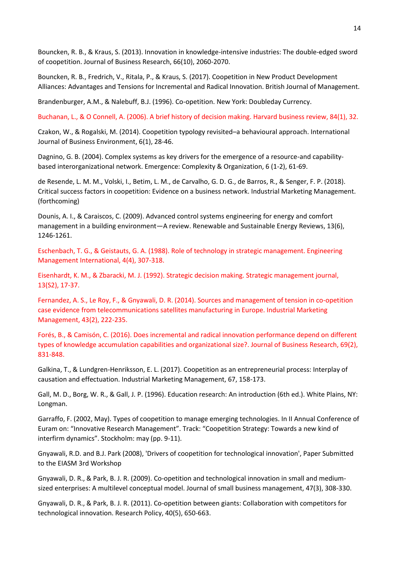Bouncken, R. B., & Kraus, S. (2013). Innovation in knowledge-intensive industries: The double-edged sword of coopetition. Journal of Business Research, 66(10), 2060-2070.

Bouncken, R. B., Fredrich, V., Ritala, P., & Kraus, S. (2017). Coopetition in New Product Development Alliances: Advantages and Tensions for Incremental and Radical Innovation. British Journal of Management.

Brandenburger, A.M., & Nalebuff, B.J. (1996). Co-opetition. New York: Doubleday Currency.

Buchanan, L., & O Connell, A. (2006). A brief history of decision making. Harvard business review, 84(1), 32.

Czakon, W., & Rogalski, M. (2014). Coopetition typology revisited–a behavioural approach. International Journal of Business Environment, 6(1), 28-46.

Dagnino, G. B. (2004). Complex systems as key drivers for the emergence of a resource-and capabilitybased interorganizational network. Emergence: Complexity & Organization, 6 (1-2), 61-69.

de Resende, L. M. M., Volski, I., Betim, L. M., de Carvalho, G. D. G., de Barros, R., & Senger, F. P. (2018). Critical success factors in coopetition: Evidence on a business network. Industrial Marketing Management. (forthcoming)

Dounis, A. I., & Caraiscos, C. (2009). Advanced control systems engineering for energy and comfort management in a building environment—A review. Renewable and Sustainable Energy Reviews, 13(6), 1246-1261.

Eschenbach, T. G., & Geistauts, G. A. (1988). Role of technology in strategic management. Engineering Management International, 4(4), 307-318.

Eisenhardt, K. M., & Zbaracki, M. J. (1992). Strategic decision making. Strategic management journal, 13(S2), 17-37.

Fernandez, A. S., Le Roy, F., & Gnyawali, D. R. (2014). Sources and management of tension in co-opetition case evidence from telecommunications satellites manufacturing in Europe. Industrial Marketing Management, 43(2), 222-235.

Forés, B., & Camisón, C. (2016). Does incremental and radical innovation performance depend on different types of knowledge accumulation capabilities and organizational size?. Journal of Business Research, 69(2), 831-848.

Galkina, T., & Lundgren-Henriksson, E. L. (2017). Coopetition as an entrepreneurial process: Interplay of causation and effectuation. Industrial Marketing Management, 67, 158-173.

Gall, M. D., Borg, W. R., & Gall, J. P. (1996). Education research: An introduction (6th ed.). White Plains, NY: Longman.

Garraffo, F. (2002, May). Types of coopetition to manage emerging technologies. In II Annual Conference of Euram on: "Innovative Research Management". Track: "Coopetition Strategy: Towards a new kind of interfirm dynamics". Stockholm: may (pp. 9-11).

Gnyawali, R.D. and B.J. Park (2008), 'Drivers of coopetition for technological innovation', Paper Submitted to the EIASM 3rd Workshop

Gnyawali, D. R., & Park, B. J. R. (2009). Co-opetition and technological innovation in small and mediumsized enterprises: A multilevel conceptual model. Journal of small business management, 47(3), 308-330.

Gnyawali, D. R., & Park, B. J. R. (2011). Co-opetition between giants: Collaboration with competitors for technological innovation. Research Policy, 40(5), 650-663.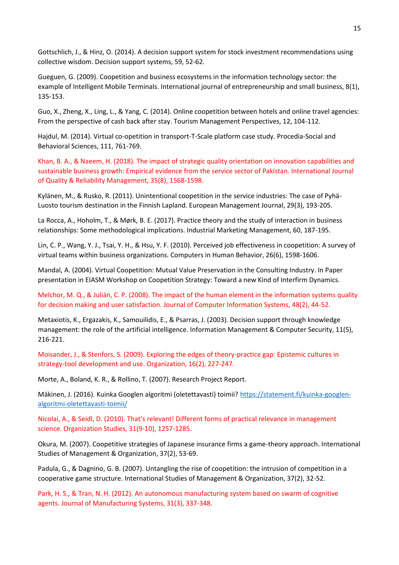Gottschlich, J., & Hinz, O. (2014). A decision support system for stock investment recommendations using collective wisdom. Decision support systems, 59, 52-62.

Gueguen, G. (2009). Coopetition and business ecosystems in the information technology sector: the example of Intelligent Mobile Terminals. International journal of entrepreneurship and small business, 8(1), 135-153.

Guo, X., Zheng, X., Ling, L., & Yang, C. (2014). Online coopetition between hotels and online travel agencies: From the perspective of cash back after stay. Tourism Management Perspectives, 12, 104-112.

Hajdul, M. (2014). Virtual co-opetition in transport-T-Scale platform case study. Procedia-Social and Behavioral Sciences, 111, 761-769.

Khan, B. A., & Naeem, H. (2018). The impact of strategic quality orientation on innovation capabilities and sustainable business growth: Empirical evidence from the service sector of Pakistan. International Journal of Quality & Reliability Management, 35(8), 1568-1598.

Kylänen, M., & Rusko, R. (2011). Unintentional coopetition in the service industries: The case of Pyhä-Luosto tourism destination in the Finnish Lapland. European Management Journal, 29(3), 193-205.

La Rocca, A., Hoholm, T., & Mørk, B. E. (2017). Practice theory and the study of interaction in business relationships: Some methodological implications. Industrial Marketing Management, 60, 187-195.

Lin, C. P., Wang, Y. J., Tsai, Y. H., & Hsu, Y. F. (2010). Perceived job effectiveness in coopetition: A survey of virtual teams within business organizations. Computers in Human Behavior, 26(6), 1598-1606.

Mandal, A. (2004). Virtual Coopetition: Mutual Value Preservation in the Consulting Industry. In Paper presentation in EIASM Workshop on Coopetition Strategy: Toward a new Kind of Interfirm Dynamics.

Melchor, M. Q., & Julián, C. P. (2008). The impact of the human element in the information systems quality for decision making and user satisfaction. Journal of Computer Information Systems, 48(2), 44-52.

Metaxiotis, K., Ergazakis, K., Samouilidis, E., & Psarras, J. (2003). Decision support through knowledge management: the role of the artificial intelligence. Information Management & Computer Security, 11(5), 216-221.

Moisander, J., & Stenfors, S. (2009). Exploring the edges of theory-practice gap: Epistemic cultures in strategy-tool development and use. Organization, 16(2), 227-247.

Morte, A., Boland, K. R., & Rollino, T. (2007). Research Project Report.

Mäkinen, J. (2016). Kuinka Googlen algoritmi (oletettavasti) toimii? [https://statement.fi/kuinka-googlen](https://statement.fi/kuinka-googlen-algoritmi-oletettavasti-toimii/)[algoritmi-oletettavasti-toimii/](https://statement.fi/kuinka-googlen-algoritmi-oletettavasti-toimii/)

Nicolai, A., & Seidl, D. (2010). That's relevant! Different forms of practical relevance in management science. Organization Studies, 31(9-10), 1257-1285.

Okura, M. (2007). Coopetitive strategies of Japanese insurance firms a game-theory approach. International Studies of Management & Organization, 37(2), 53-69.

Padula, G., & Dagnino, G. B. (2007). Untangling the rise of coopetition: the intrusion of competition in a cooperative game structure. International Studies of Management & Organization, 37(2), 32-52.

Park, H. S., & Tran, N. H. (2012). An autonomous manufacturing system based on swarm of cognitive agents. Journal of Manufacturing Systems, 31(3), 337-348.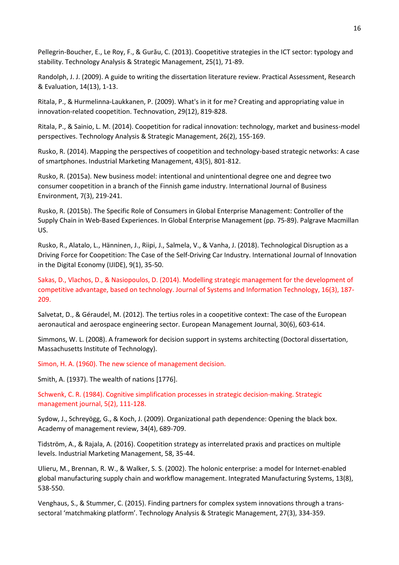Pellegrin-Boucher, E., Le Roy, F., & Gurău, C. (2013). Coopetitive strategies in the ICT sector: typology and stability. Technology Analysis & Strategic Management, 25(1), 71-89.

Randolph, J. J. (2009). A guide to writing the dissertation literature review. Practical Assessment, Research & Evaluation, 14(13), 1-13.

Ritala, P., & Hurmelinna-Laukkanen, P. (2009). What's in it for me? Creating and appropriating value in innovation-related coopetition. Technovation, 29(12), 819-828.

Ritala, P., & Sainio, L. M. (2014). Coopetition for radical innovation: technology, market and business-model perspectives. Technology Analysis & Strategic Management, 26(2), 155-169.

Rusko, R. (2014). Mapping the perspectives of coopetition and technology-based strategic networks: A case of smartphones. Industrial Marketing Management, 43(5), 801-812.

Rusko, R. (2015a). New business model: intentional and unintentional degree one and degree two consumer coopetition in a branch of the Finnish game industry. International Journal of Business Environment, 7(3), 219-241.

Rusko, R. (2015b). The Specific Role of Consumers in Global Enterprise Management: Controller of the Supply Chain in Web-Based Experiences. In Global Enterprise Management (pp. 75-89). Palgrave Macmillan US.

Rusko, R., Alatalo, L., Hänninen, J., Riipi, J., Salmela, V., & Vanha, J. (2018). Technological Disruption as a Driving Force for Coopetition: The Case of the Self-Driving Car Industry. International Journal of Innovation in the Digital Economy (IJIDE), 9(1), 35-50.

Sakas, D., Vlachos, D., & Nasiopoulos, D. (2014). Modelling strategic management for the development of competitive advantage, based on technology. Journal of Systems and Information Technology, 16(3), 187- 209.

Salvetat, D., & Géraudel, M. (2012). The tertius roles in a coopetitive context: The case of the European aeronautical and aerospace engineering sector. European Management Journal, 30(6), 603-614.

Simmons, W. L. (2008). A framework for decision support in systems architecting (Doctoral dissertation, Massachusetts Institute of Technology).

Simon, H. A. (1960). The new science of management decision.

Smith, A. (1937). The wealth of nations [1776].

Schwenk, C. R. (1984). Cognitive simplification processes in strategic decision‐making. Strategic management journal, 5(2), 111-128.

Sydow, J., Schreyögg, G., & Koch, J. (2009). Organizational path dependence: Opening the black box. Academy of management review, 34(4), 689-709.

Tidström, A., & Rajala, A. (2016). Coopetition strategy as interrelated praxis and practices on multiple levels. Industrial Marketing Management, 58, 35-44.

Ulieru, M., Brennan, R. W., & Walker, S. S. (2002). The holonic enterprise: a model for Internet-enabled global manufacturing supply chain and workflow management. Integrated Manufacturing Systems, 13(8), 538-550.

Venghaus, S., & Stummer, C. (2015). Finding partners for complex system innovations through a transsectoral 'matchmaking platform'. Technology Analysis & Strategic Management, 27(3), 334-359.